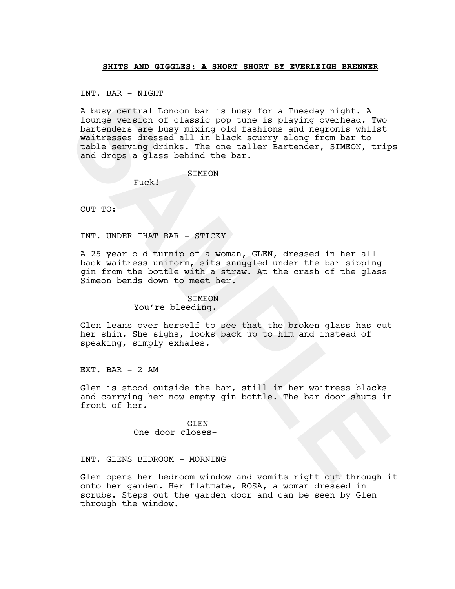## **SHITS AND GIGGLES: A SHORT SHORT BY EVERLEIGH BRENNER**

INT. BAR - NIGHT

A buey central London bar is buey for a Tuesday night. A<br>bunde version of classic pop tune is playing overhead. Two<br>bartenders are busy mixing old fashions and negronis whilst<br>valitsecs dessed all in black sourry along fro A busy central London bar is busy for a Tuesday night. A lounge version of classic pop tune is playing overhead. Two bartenders are busy mixing old fashions and negronis whilst waitresses dressed all in black scurry along from bar to table serving drinks. The one taller Bartender, SIMEON, trips and drops a glass behind the bar.

**STMEON** 

Fuck!

CUT TO:

INT. UNDER THAT BAR - STICKY

A 25 year old turnip of a woman, GLEN, dressed in her all back waitress uniform, sits snuggled under the bar sipping gin from the bottle with a straw. At the crash of the glass Simeon bends down to meet her.

## SIMEON

You're bleeding.

Glen leans over herself to see that the broken glass has cut her shin. She sighs, looks back up to him and instead of speaking, simply exhales.

EXT. BAR  $-$  2 AM

Glen is stood outside the bar, still in her waitress blacks and carrying her now empty gin bottle. The bar door shuts in front of her.

> GLEN One door closes-

INT. GLENS BEDROOM - MORNING

Glen opens her bedroom window and vomits right out through it onto her garden. Her flatmate, ROSA, a woman dressed in scrubs. Steps out the garden door and can be seen by Glen through the window.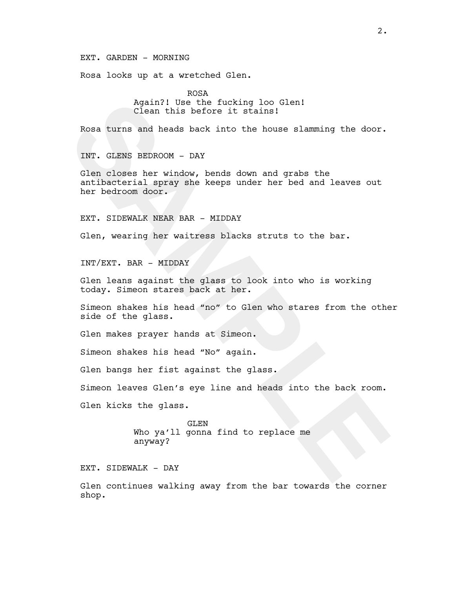EXT. GARDEN - MORNING

Rosa looks up at a wretched Glen.

ROSA Again?! Use the fucking loo Glen! Clean this before it stains!

Rosa turns and heads back into the house slamming the door.

INT. GLENS BEDROOM - DAY

Again?! Use the fucking loo Glen!<br>
Clean this before it stains!<br>
Rosa turns and heads back into the house slamming the door.<br>
INT. GLENS BEDROOM - DAY<br>
Clen closes her window, bends down and grabs the<br>
cantibacterial agray Glen closes her window, bends down and grabs the antibacterial spray she keeps under her bed and leaves out her bedroom door.

EXT. SIDEWALK NEAR BAR - MIDDAY

Glen, wearing her waitress blacks struts to the bar.

INT/EXT. BAR - MIDDAY

Glen leans against the glass to look into who is working today. Simeon stares back at her.

Simeon shakes his head "no" to Glen who stares from the other side of the glass.

Glen makes prayer hands at Simeon.

Simeon shakes his head "No" again.

Glen bangs her fist against the glass.

Simeon leaves Glen's eye line and heads into the back room.

Glen kicks the glass.

GLEN Who ya'll gonna find to replace me anyway?

EXT. SIDEWALK - DAY

Glen continues walking away from the bar towards the corner shop.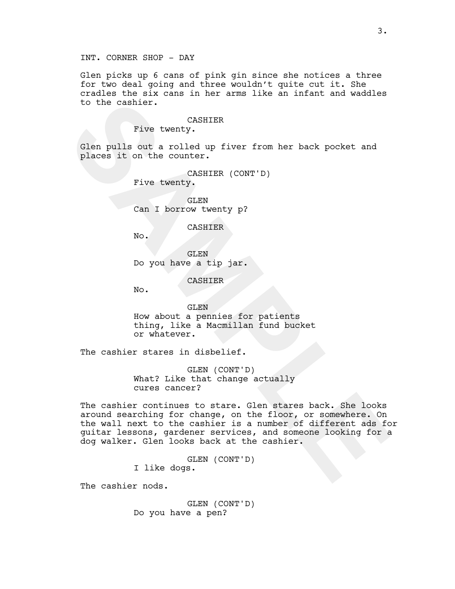Glen picks up 6 cans of pink gin since she notices a three for two deal going and three wouldn't quite cut it. She cradles the six cans in her arms like an infant and waddles to the cashier.

## CASHIER

Five twenty.

Glen pulls out a rolled up fiver from her back pocket and places it on the counter.

> CASHIER (CONT'D) Five twenty.

GLEN Can I borrow twenty p?

CASHIER

No.

GLEN Do you have a tip jar.

CASHIER

No.

GLEN How about a pennies for patients thing, like a Macmillan fund bucket or whatever.

The cashier stares in disbelief.

GLEN (CONT'D) What? Like that change actually cures cancer?

to the cashier.<br>
The control of a rolled up fiver from her back pocket and<br>
place it on the counter.<br>
Five twenty,<br>
Sam I borrow twenty p?<br>
Cas I borrow twenty p?<br>
CasHIER<br>
No.<br>
CASHIER<br>
No.<br>
CASHIER<br>
No.<br>
CASHIER<br>
No.<br>
CA The cashier continues to stare. Glen stares back. She looks around searching for change, on the floor, or somewhere. On the wall next to the cashier is a number of different ads for guitar lessons, gardener services, and someone looking for a dog walker. Glen looks back at the cashier.

GLEN (CONT'D) I like dogs.

The cashier nods.

GLEN (CONT'D) Do you have a pen?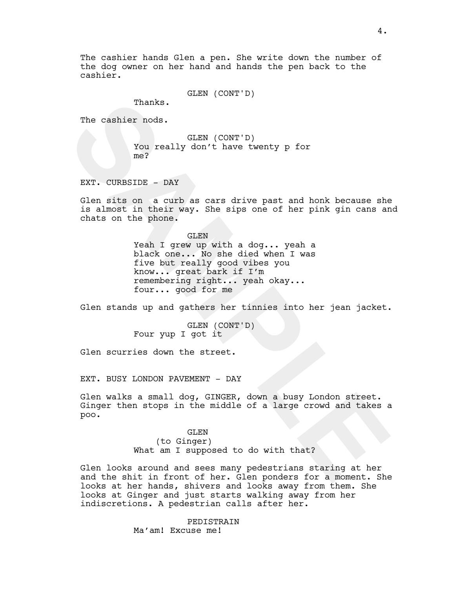The cashier hands Glen a pen. She write down the number of the dog owner on her hand and hands the pen back to the cashier.

GLEN (CONT'D)

Thanks.

The cashier nods.

GLEN (CONT'D) You really don't have twenty p for me?

EXT. CURBSIDE - DAY

Glen sits on a curb as cars drive past and honk because she is almost in their way. She sips one of her pink gin cans and chats on the phone.

The cashier node.<br>
You really don't have twenty p for<br>
EXT. CURBSIDE - DAY<br>
SLEN (CONT'D)<br>
EXT. CURBSIDE - DAY<br>
Gian a curb as cars drive past and honk because she<br>
is almost in their way. She sips one of her pink gin cans GLEN Yeah I grew up with a dog... yeah a black one... No she died when I was five but really good vibes you know... great bark if I'm remembering right... yeah okay... four... good for me

Glen stands up and gathers her tinnies into her jean jacket.

GLEN (CONT'D) Four yup I got it

Glen scurries down the street.

EXT. BUSY LONDON PAVEMENT - DAY

Glen walks a small dog, GINGER, down a busy London street. Ginger then stops in the middle of a large crowd and takes a poo.

> GLEN (to Ginger) What am I supposed to do with that?

Glen looks around and sees many pedestrians staring at her and the shit in front of her. Glen ponders for a moment. She looks at her hands, shivers and looks away from them. She looks at Ginger and just starts walking away from her indiscretions. A pedestrian calls after her.

> PEDISTRAIN Ma'am! Excuse me!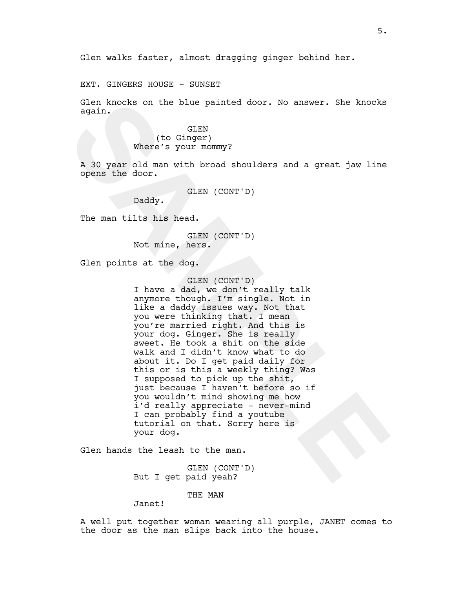Glen walks faster, almost dragging ginger behind her.

EXT. GINGERS HOUSE - SUNSET

Glen knocks on the blue painted door. No answer. She knocks again.

> GLEN (to Ginger) Where's your mommy?

A 30 year old man with broad shoulders and a great jaw line opens the door.

GLEN (CONT'D)

Daddy.

The man tilts his head.

GLEN (CONT'D) Not mine, hers.

Glen points at the dog.

GLEN (CONT'D)

Glen knocks on the blue painted door. No answer. She knocks<br>
sgain.<br>
(to Ginger)<br>
(to Singer)<br>
(to Singer)<br>
(to Singer)<br>
(to Singer)<br>
A 30 year old man with broad shoulders and a great jaw line<br>
opens the door.<br>
Daddy.<br>
Th I have a dad, we don't really talk anymore though. I'm single. Not in like a daddy issues way. Not that you were thinking that. I mean you're married right. And this is your dog. Ginger. She is really sweet. He took a shit on the side walk and I didn't know what to do about it. Do I get paid daily for this or is this a weekly thing? Was I supposed to pick up the shit, just because I haven't before so if you wouldn't mind showing me how i'd really appreciate - never-mind I can probably find a youtube tutorial on that. Sorry here is your dog.

Glen hands the leash to the man.

GLEN (CONT'D) But I get paid yeah?

THE MAN

Janet!

A well put together woman wearing all purple, JANET comes to the door as the man slips back into the house.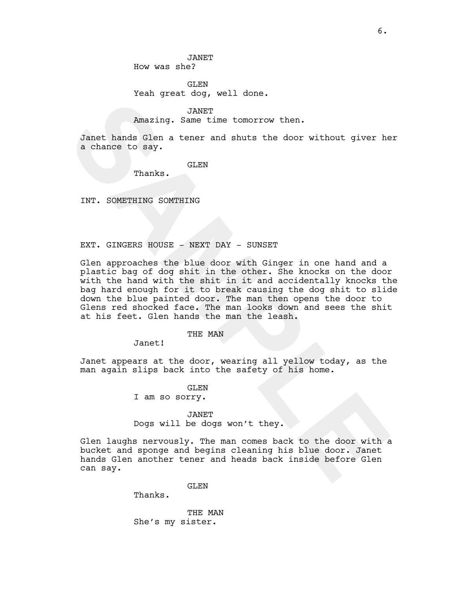JANET How was she?

GLEN Yeah great dog, well done.

JANET Amazing. Same time tomorrow then.

Janet hands Glen a tener and shuts the door without giver her a chance to say.

GLEN

Thanks.

INT. SOMETHING SOMTHING

## EXT. GINGERS HOUSE - NEXT DAY - SUNSET

Amazing. Same time tomorrow then.<br> **SAMPRE**<br> **SAMPLE SAMPLE SAMPLE CONTINUES CONTINUES**<br> **SAMPLE SAMPLE SAMPLE SAMPLE SAMPLE SAMPLE SAMPLE SAMPLE SAMPLE SAMPLE EXT.**<br> **SAMPLE SAMPLE SAMPLE SAMPLE SAMPLE SAMPLE SAMPLE SAMPL** Glen approaches the blue door with Ginger in one hand and a plastic bag of dog shit in the other. She knocks on the door with the hand with the shit in it and accidentally knocks the bag hard enough for it to break causing the dog shit to slide down the blue painted door. The man then opens the door to Glens red shocked face. The man looks down and sees the shit at his feet. Glen hands the man the leash.

THE MAN

Janet!

Janet appears at the door, wearing all yellow today, as the man again slips back into the safety of his home.

GLEN

I am so sorry.

JANET

Dogs will be dogs won't they.

Glen laughs nervously. The man comes back to the door with a bucket and sponge and begins cleaning his blue door. Janet hands Glen another tener and heads back inside before Glen can say.

GLEN

Thanks.

THE MAN She's my sister.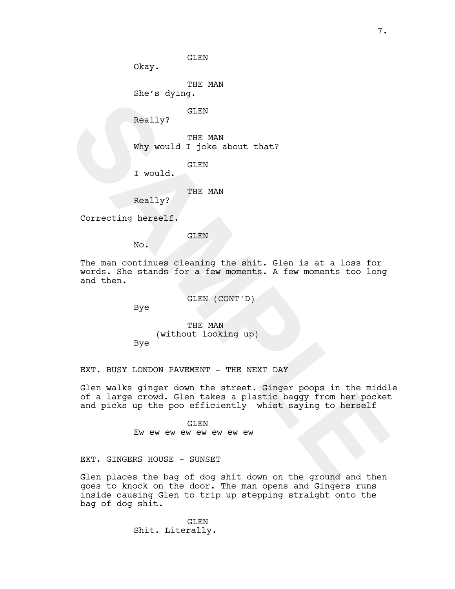Okay.

THE MAN

She's dying.

GLEN

Really?

THE MAN Why would I joke about that?

GLEN

I would.

THE MAN

Really?

Correcting herself.

GLEN

No.

The man continues cleaning the shit. Glen is at a loss for words. She stands for a few moments. A few moments too long and then.

GLEN (CONT'D)

Bye

THE MAN (without looking up)

Bye

EXT. BUSY LONDON PAVEMENT - THE NEXT DAY

SLEN<br>
Why would I joke about that?<br>
The MAN<br>
The MAN<br>
The MAN<br>
THE MAN<br>
SCENT<br>
Really?<br>
THE MAN<br>
THE MAN<br>
THE MAN<br>
THE MAN<br>
THE MAN<br>
THE MAN<br>
THE MAN<br>
No.<br>
SAMPLERE ALSO THE MAN<br>
No.<br>
THE MAN<br>
THE MAN<br>
THE MAN<br>
THE MAN<br>
TH Glen walks ginger down the street. Ginger poops in the middle of a large crowd. Glen takes a plastic baggy from her pocket and picks up the poo efficiently whist saying to herself

GLEN Ew ew ew ew ew ew ew ew

EXT. GINGERS HOUSE - SUNSET

Glen places the bag of dog shit down on the ground and then goes to knock on the door. The man opens and Gingers runs inside causing Glen to trip up stepping straight onto the bag of dog shit.

> GLEN Shit. Literally.